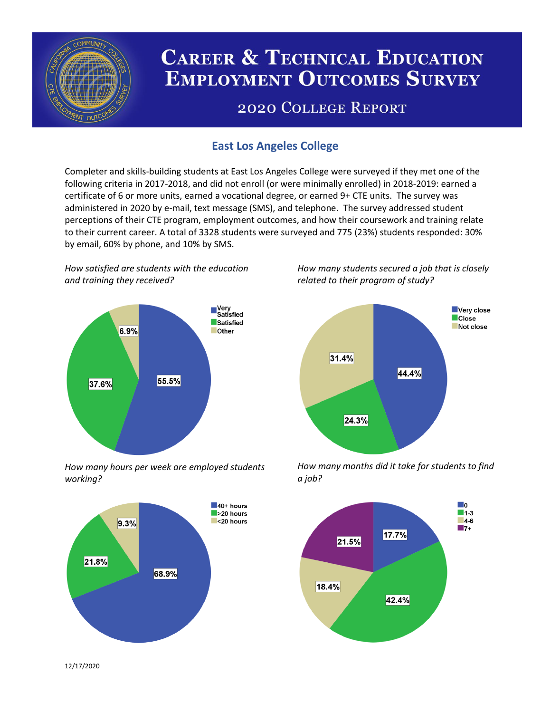

# **CAREER & TECHNICAL EDUCATION EMPLOYMENT OUTCOMES SURVEY**

## **2020 COLLEGE REPORT**

## **East Los Angeles College**

Completer and skills-building students at East Los Angeles College were surveyed if they met one of the following criteria in 2017-2018, and did not enroll (or were minimally enrolled) in 2018-2019: earned a certificate of 6 or more units, earned a vocational degree, or earned 9+ CTE units. The survey was administered in 2020 by e-mail, text message (SMS), and telephone. The survey addressed student perceptions of their CTE program, employment outcomes, and how their coursework and training relate to their current career. A total of 3328 students were surveyed and 775 (23%) students responded: 30% by email, 60% by phone, and 10% by SMS.

*How satisfied are students with the education and training they received?*



*How many hours per week are employed students working?*



*How many students secured a job that is closely related to their program of study?*



*How many months did it take for students to find a job?*



12/17/2020